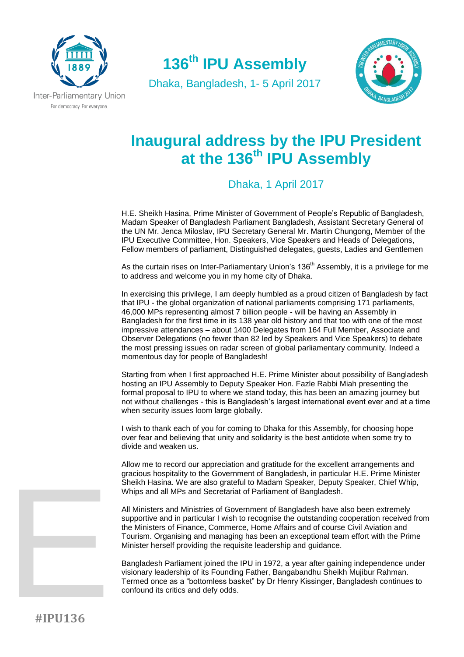

**136th IPU Assembly**

Dhaka, Bangladesh, 1- 5 April 2017



## **Inaugural address by the IPU President at the 136th IPU Assembly**

Dhaka, 1 April 2017

H.E. Sheikh Hasina, Prime Minister of Government of People's Republic of Bangladesh, Madam Speaker of Bangladesh Parliament Bangladesh, Assistant Secretary General of the UN Mr. Jenca Miloslav, IPU Secretary General Mr. Martin Chungong, Member of the IPU Executive Committee, Hon. Speakers, Vice Speakers and Heads of Delegations, Fellow members of parliament, Distinguished delegates, guests, Ladies and Gentlemen

As the curtain rises on Inter-Parliamentary Union's 136<sup>th</sup> Assembly, it is a privilege for me to address and welcome you in my home city of Dhaka.

In exercising this privilege, I am deeply humbled as a proud citizen of Bangladesh by fact that IPU - the global organization of national parliaments comprising 171 parliaments, 46,000 MPs representing almost 7 billion people - will be having an Assembly in Bangladesh for the first time in its 138 year old history and that too with one of the most impressive attendances – about 1400 Delegates from 164 Full Member, Associate and Observer Delegations (no fewer than 82 led by Speakers and Vice Speakers) to debate the most pressing issues on radar screen of global parliamentary community. Indeed a momentous day for people of Bangladesh!

Starting from when I first approached H.E. Prime Minister about possibility of Bangladesh hosting an IPU Assembly to Deputy Speaker Hon. Fazle Rabbi Miah presenting the formal proposal to IPU to where we stand today, this has been an amazing journey but not without challenges - this is Bangladesh's largest international event ever and at a time when security issues loom large globally.

I wish to thank each of you for coming to Dhaka for this Assembly, for choosing hope over fear and believing that unity and solidarity is the best antidote when some try to divide and weaken us.

Allow me to record our appreciation and gratitude for the excellent arrangements and gracious hospitality to the Government of Bangladesh, in particular H.E. Prime Minister Sheikh Hasina. We are also grateful to Madam Speaker, Deputy Speaker, Chief Whip, Whips and all MPs and Secretariat of Parliament of Bangladesh.

All Ministers and Ministries of Government of Bangladesh have also been extremely supportive and in particular I wish to recognise the outstanding cooperation received from the Ministers of Finance, Commerce, Home Affairs and of course Civil Aviation and Tourism. Organising and managing has been an exceptional team effort with the Prime Minister herself providing the requisite leadership and guidance.

Bangladesh Parliament joined the IPU in 1972, a year after gaining independence under visionary leadership of its Founding Father, Bangabandhu Sheikh Mujibur Rahman. Termed once as a "bottomless basket" by Dr Henry Kissinger, Bangladesh continues to confound its critics and defy odds.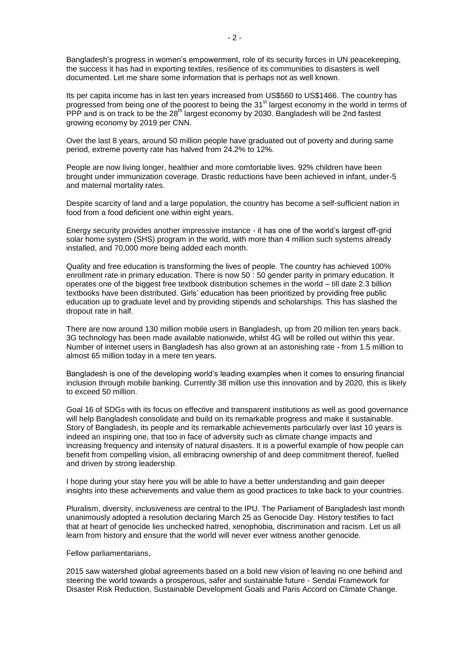Bangladesh's progress in women's empowerment, role of its security forces in UN peacekeeping, the success it has had in exporting textiles, resilience of its communities to disasters is well documented. Let me share some information that is perhaps not as well known.

Its per capita income has in last ten years increased from US\$560 to US\$1466. The country has progressed from being one of the poorest to being the 31<sup>st</sup> largest economy in the world in terms of PPP and is on track to be the 28<sup>th</sup> largest economy by 2030. Bangladesh will be 2nd fastest growing economy by 2019 per CNN.

Over the last 8 years, around 50 million people have graduated out of poverty and during same period, extreme poverty rate has halved from 24.2% to 12%.

People are now living longer, healthier and more comfortable lives. 92% children have been brought under immunization coverage. Drastic reductions have been achieved in infant, under-5 and maternal mortality rates.

Despite scarcity of land and a large population, the country has become a self-sufficient nation in food from a food deficient one within eight years.

Energy security provides another impressive instance - it has one of the world's largest off-grid solar home system (SHS) program in the world, with more than 4 million such systems already installed, and 70,000 more being added each month.

Quality and free education is transforming the lives of people. The country has achieved 100% enrollment rate in primary education. There is now 50 : 50 gender parity in primary education. It operates one of the biggest free textbook distribution schemes in the world – till date 2.3 billion textbooks have been distributed. Girls' education has been prioritized by providing free public education up to graduate level and by providing stipends and scholarships. This has slashed the dropout rate in half.

There are now around 130 million mobile users in Bangladesh, up from 20 million ten years back. 3G technology has been made available nationwide, whilst 4G will be rolled out within this year. Number of internet users in Bangladesh has also grown at an astonishing rate - from 1.5 million to almost 65 million today in a mere ten years.

Bangladesh is one of the developing world's leading examples when it comes to ensuring financial inclusion through mobile banking. Currently 38 million use this innovation and by 2020, this is likely to exceed 50 million.

Goal 16 of SDGs with its focus on effective and transparent institutions as well as good governance will help Bangladesh consolidate and build on its remarkable progress and make it sustainable. Story of Bangladesh, its people and its remarkable achievements particularly over last 10 years is indeed an inspiring one, that too in face of adversity such as climate change impacts and increasing frequency and intensity of natural disasters. It is a powerful example of how people can benefit from compelling vision, all embracing ownership of and deep commitment thereof, fuelled and driven by strong leadership.

I hope during your stay here you will be able to have a better understanding and gain deeper insights into these achievements and value them as good practices to take back to your countries.

Pluralism, diversity, inclusiveness are central to the IPU. The Parliament of Bangladesh last month unanimously adopted a resolution declaring March 25 as Genocide Day. History testifies to fact that at heart of genocide lies unchecked hatred, xenophobia, discrimination and racism. Let us all learn from history and ensure that the world will never ever witness another genocide.

Fellow parliamentarians,

2015 saw watershed global agreements based on a bold new vision of leaving no one behind and steering the world towards a prosperous, safer and sustainable future - Sendai Framework for Disaster Risk Reduction, Sustainable Development Goals and Paris Accord on Climate Change.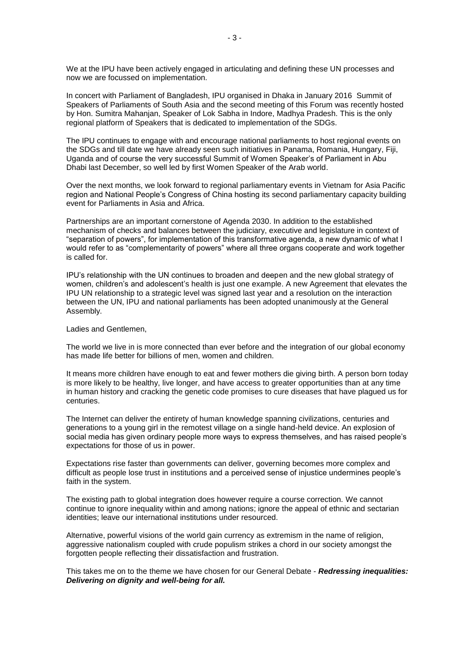We at the IPU have been actively engaged in articulating and defining these UN processes and now we are focussed on implementation.

In concert with Parliament of Bangladesh, IPU organised in Dhaka in January 2016 Summit of Speakers of Parliaments of South Asia and the second meeting of this Forum was recently hosted by Hon. Sumitra Mahanjan, Speaker of Lok Sabha in Indore, Madhya Pradesh. This is the only regional platform of Speakers that is dedicated to implementation of the SDGs.

The IPU continues to engage with and encourage national parliaments to host regional events on the SDGs and till date we have already seen such initiatives in Panama, Romania, Hungary, Fiji, Uganda and of course the very successful Summit of Women Speaker's of Parliament in Abu Dhabi last December, so well led by first Women Speaker of the Arab world.

Over the next months, we look forward to regional parliamentary events in Vietnam for Asia Pacific region and National People's Congress of China hosting its second parliamentary capacity building event for Parliaments in Asia and Africa.

Partnerships are an important cornerstone of Agenda 2030. In addition to the established mechanism of checks and balances between the judiciary, executive and legislature in context of "separation of powers", for implementation of this transformative agenda, a new dynamic of what I would refer to as "complementarity of powers" where all three organs cooperate and work together is called for.

IPU's relationship with the UN continues to broaden and deepen and the new global strategy of women, children's and adolescent's health is just one example. A new Agreement that elevates the IPU UN relationship to a strategic level was signed last year and a resolution on the interaction between the UN, IPU and national parliaments has been adopted unanimously at the General Assembly.

Ladies and Gentlemen,

The world we live in is more connected than ever before and the integration of our global economy has made life better for billions of men, women and children.

It means more children have enough to eat and fewer mothers die giving birth. A person born today is more likely to be healthy, live longer, and have access to greater opportunities than at any time in human history and cracking the genetic code promises to cure diseases that have plagued us for centuries.

The Internet can deliver the entirety of human knowledge spanning civilizations, centuries and generations to a young girl in the remotest village on a single hand-held device. An explosion of social media has given ordinary people more ways to express themselves, and has raised people's expectations for those of us in power.

Expectations rise faster than governments can deliver, governing becomes more complex and difficult as people lose trust in institutions and a perceived sense of injustice undermines people's faith in the system.

The existing path to global integration does however require a course correction. We cannot continue to ignore inequality within and among nations; ignore the appeal of ethnic and sectarian identities; leave our international institutions under resourced.

Alternative, powerful visions of the world gain currency as extremism in the name of religion, aggressive nationalism coupled with crude populism strikes a chord in our society amongst the forgotten people reflecting their dissatisfaction and frustration.

This takes me on to the theme we have chosen for our General Debate - *Redressing inequalities: Delivering on dignity and well-being for all.*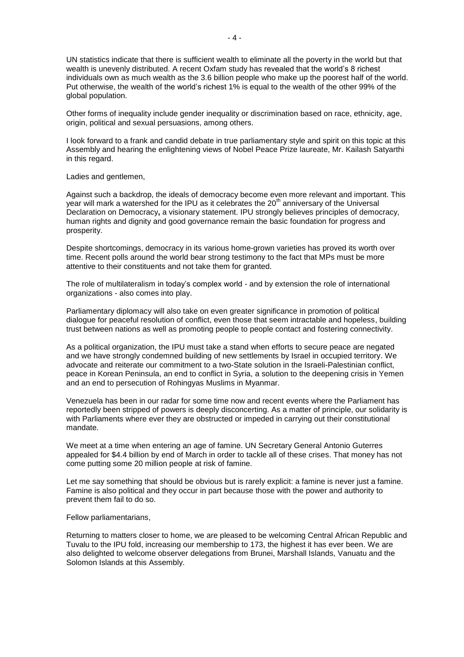UN statistics indicate that there is sufficient wealth to eliminate all the poverty in the world but that wealth is unevenly distributed. A recent Oxfam study has revealed that the world's 8 richest individuals own as much wealth as the 3.6 billion people who make up the poorest half of the world. Put otherwise, the wealth of the world's richest 1% is equal to the wealth of the other 99% of the global population.

Other forms of inequality include gender inequality or discrimination based on race, ethnicity, age, origin, political and sexual persuasions, among others.

I look forward to a frank and candid debate in true parliamentary style and spirit on this topic at this Assembly and hearing the enlightening views of Nobel Peace Prize laureate, Mr. Kailash Satyarthi in this regard.

Ladies and gentlemen,

Against such a backdrop, the ideals of democracy become even more relevant and important. This year will mark a watershed for the IPU as it celebrates the  $20<sup>th</sup>$  anniversary of the Universal Declaration on Democracy**,** a visionary statement. IPU strongly believes principles of democracy, human rights and dignity and good governance remain the basic foundation for progress and prosperity.

Despite shortcomings, democracy in its various home-grown varieties has proved its worth over time. Recent polls around the world bear strong testimony to the fact that MPs must be more attentive to their constituents and not take them for granted.

The role of multilateralism in today's complex world - and by extension the role of international organizations - also comes into play.

Parliamentary diplomacy will also take on even greater significance in promotion of political dialogue for peaceful resolution of conflict, even those that seem intractable and hopeless, building trust between nations as well as promoting people to people contact and fostering connectivity.

As a political organization, the IPU must take a stand when efforts to secure peace are negated and we have strongly condemned building of new settlements by Israel in occupied territory. We advocate and reiterate our commitment to a two-State solution in the Israeli-Palestinian conflict, peace in Korean Peninsula, an end to conflict in Syria, a solution to the deepening crisis in Yemen and an end to persecution of Rohingyas Muslims in Myanmar.

Venezuela has been in our radar for some time now and recent events where the Parliament has reportedly been stripped of powers is deeply disconcerting. As a matter of principle, our solidarity is with Parliaments where ever they are obstructed or impeded in carrying out their constitutional mandate.

We meet at a time when entering an age of famine. UN Secretary General Antonio Guterres appealed for \$4.4 billion by end of March in order to tackle all of these crises. That money has not come putting some [20 million people](http://www.undispatch.com/famine-explained/) at risk of famine.

Let me say something that should be obvious but is rarely explicit: a famine is never just a famine. Famine is also political and they occur in part because those with the power and authority to prevent them fail to do so.

Fellow parliamentarians,

Returning to matters closer to home, we are pleased to be welcoming Central African Republic and Tuvalu to the IPU fold, increasing our membership to 173, the highest it has ever been. We are also delighted to welcome observer delegations from Brunei, Marshall Islands, Vanuatu and the Solomon Islands at this Assembly.